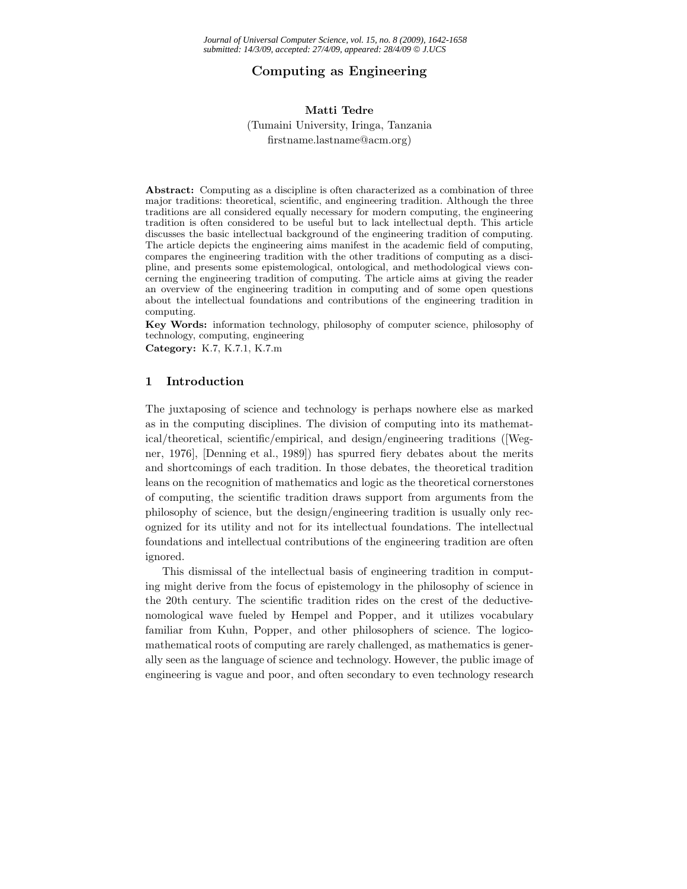# **Computing as Engineering**

## **Matti Tedre**

## (Tumaini University, Iringa, Tanzania firstname.lastname@acm.org)

**Abstract:** Computing as a discipline is often characterized as a combination of three major traditions: theoretical, scientific, and engineering tradition. Although the three traditions are all considered equally necessary for modern computing, the engineering tradition is often considered to be useful but to lack intellectual depth. This article discusses the basic intellectual background of the engineering tradition of computing. The article depicts the engineering aims manifest in the academic field of computing, compares the engineering tradition with the other traditions of computing as a discipline, and presents some epistemological, ontological, and methodological views concerning the engineering tradition of computing. The article aims at giving the reader an overview of the engineering tradition in computing and of some open questions about the intellectual foundations and contributions of the engineering tradition in computing.

**Key Words:** information technology, philosophy of computer science, philosophy of technology, computing, engineering **Category:** K.7, K.7.1, K.7.m

#### **1 Introduction**

The juxtaposing of science and technology is perhaps nowhere else as marked as in the computing disciplines. The division of computing into its mathematical/theoretical, scientific/empirical, and design/engineering traditions ([Wegner, 1976], [Denning et al., 1989]) has spurred fiery debates about the merits and shortcomings of each tradition. In those debates, the theoretical tradition leans on the recognition of mathematics and logic as the theoretical cornerstones of computing, the scientific tradition draws support from arguments from the philosophy of science, but the design/engineering tradition is usually only recognized for its utility and not for its intellectual foundations. The intellectual foundations and intellectual contributions of the engineering tradition are often ignored.

This dismissal of the intellectual basis of engineering tradition in computing might derive from the focus of epistemology in the philosophy of science in the 20th century. The scientific tradition rides on the crest of the deductivenomological wave fueled by Hempel and Popper, and it utilizes vocabulary familiar from Kuhn, Popper, and other philosophers of science. The logicomathematical roots of computing are rarely challenged, as mathematics is generally seen as the language of science and technology. However, the public image of engineering is vague and poor, and often secondary to even technology research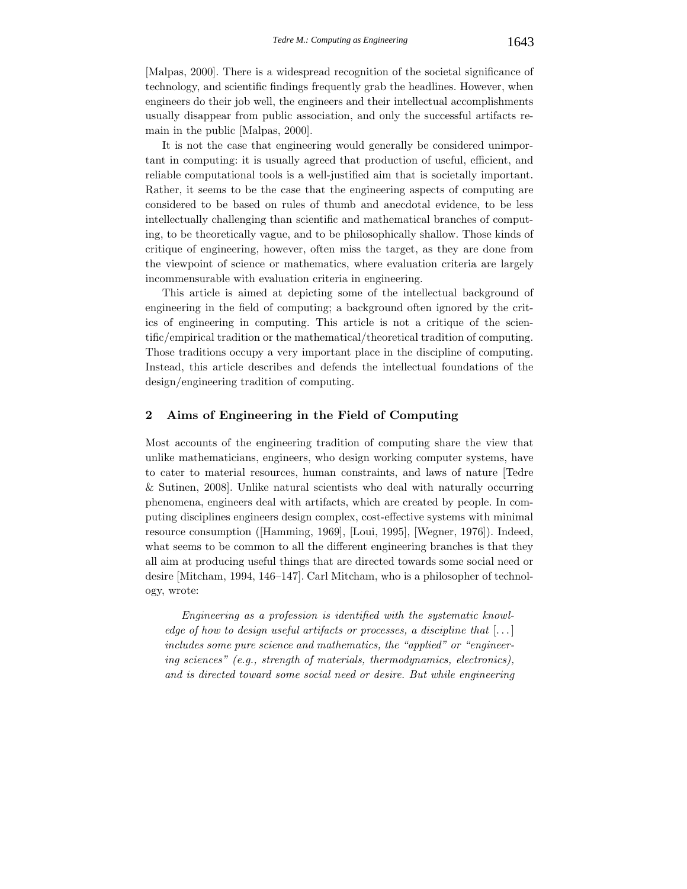[Malpas, 2000]. There is a widespread recognition of the societal significance of technology, and scientific findings frequently grab the headlines. However, when engineers do their job well, the engineers and their intellectual accomplishments usually disappear from public association, and only the successful artifacts remain in the public [Malpas, 2000].

It is not the case that engineering would generally be considered unimportant in computing: it is usually agreed that production of useful, efficient, and reliable computational tools is a well-justified aim that is societally important. Rather, it seems to be the case that the engineering aspects of computing are considered to be based on rules of thumb and anecdotal evidence, to be less intellectually challenging than scientific and mathematical branches of computing, to be theoretically vague, and to be philosophically shallow. Those kinds of critique of engineering, however, often miss the target, as they are done from the viewpoint of science or mathematics, where evaluation criteria are largely incommensurable with evaluation criteria in engineering.

This article is aimed at depicting some of the intellectual background of engineering in the field of computing; a background often ignored by the critics of engineering in computing. This article is not a critique of the scientific/empirical tradition or the mathematical/theoretical tradition of computing. Those traditions occupy a very important place in the discipline of computing. Instead, this article describes and defends the intellectual foundations of the design/engineering tradition of computing.

## **2 Aims of Engineering in the Field of Computing**

Most accounts of the engineering tradition of computing share the view that unlike mathematicians, engineers, who design working computer systems, have to cater to material resources, human constraints, and laws of nature [Tedre & Sutinen, 2008]. Unlike natural scientists who deal with naturally occurring phenomena, engineers deal with artifacts, which are created by people. In computing disciplines engineers design complex, cost-effective systems with minimal resource consumption ([Hamming, 1969], [Loui, 1995], [Wegner, 1976]). Indeed, what seems to be common to all the different engineering branches is that they all aim at producing useful things that are directed towards some social need or desire [Mitcham, 1994, 146–147]. Carl Mitcham, who is a philosopher of technology, wrote:

*Engineering as a profession is identified with the systematic knowledge of how to design useful artifacts or processes, a discipline that* [. . . ] *includes some pure science and mathematics, the "applied" or "engineering sciences" (e.g., strength of materials, thermodynamics, electronics), and is directed toward some social need or desire. But while engineering*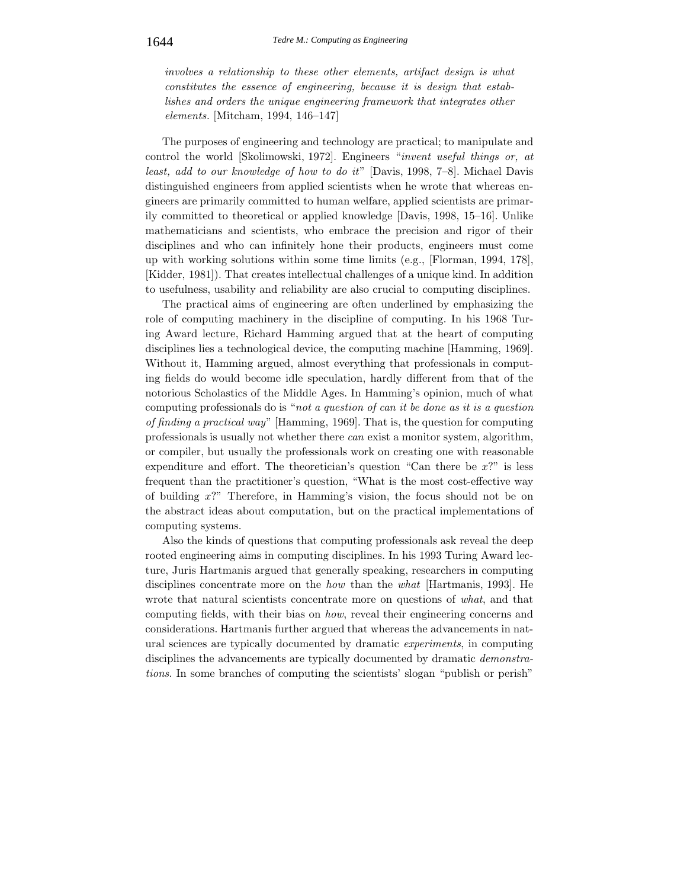*involves a relationship to these other elements, artifact design is what constitutes the essence of engineering, because it is design that establishes and orders the unique engineering framework that integrates other elements.* [Mitcham, 1994, 146–147]

The purposes of engineering and technology are practical; to manipulate and control the world [Skolimowski, 1972]. Engineers "*invent useful things or, at least, add to our knowledge of how to do it*" [Davis, 1998, 7–8]. Michael Davis distinguished engineers from applied scientists when he wrote that whereas engineers are primarily committed to human welfare, applied scientists are primarily committed to theoretical or applied knowledge [Davis, 1998, 15–16]. Unlike mathematicians and scientists, who embrace the precision and rigor of their disciplines and who can infinitely hone their products, engineers must come up with working solutions within some time limits (e.g., [Florman, 1994, 178], [Kidder, 1981]). That creates intellectual challenges of a unique kind. In addition to usefulness, usability and reliability are also crucial to computing disciplines.

The practical aims of engineering are often underlined by emphasizing the role of computing machinery in the discipline of computing. In his 1968 Turing Award lecture, Richard Hamming argued that at the heart of computing disciplines lies a technological device, the computing machine [Hamming, 1969]. Without it, Hamming argued, almost everything that professionals in computing fields do would become idle speculation, hardly different from that of the notorious Scholastics of the Middle Ages. In Hamming's opinion, much of what computing professionals do is "*not a question of can it be done as it is a question of finding a practical way*" [Hamming, 1969]. That is, the question for computing professionals is usually not whether there *can* exist a monitor system, algorithm, or compiler, but usually the professionals work on creating one with reasonable expenditure and effort. The theoretician's question "Can there be *x*?" is less frequent than the practitioner's question, "What is the most cost-effective way of building *x*?" Therefore, in Hamming's vision, the focus should not be on the abstract ideas about computation, but on the practical implementations of computing systems.

Also the kinds of questions that computing professionals ask reveal the deep rooted engineering aims in computing disciplines. In his 1993 Turing Award lecture, Juris Hartmanis argued that generally speaking, researchers in computing disciplines concentrate more on the *how* than the *what* [Hartmanis, 1993]. He wrote that natural scientists concentrate more on questions of *what*, and that computing fields, with their bias on *how*, reveal their engineering concerns and considerations. Hartmanis further argued that whereas the advancements in natural sciences are typically documented by dramatic *experiments*, in computing disciplines the advancements are typically documented by dramatic *demonstrations*. In some branches of computing the scientists' slogan "publish or perish"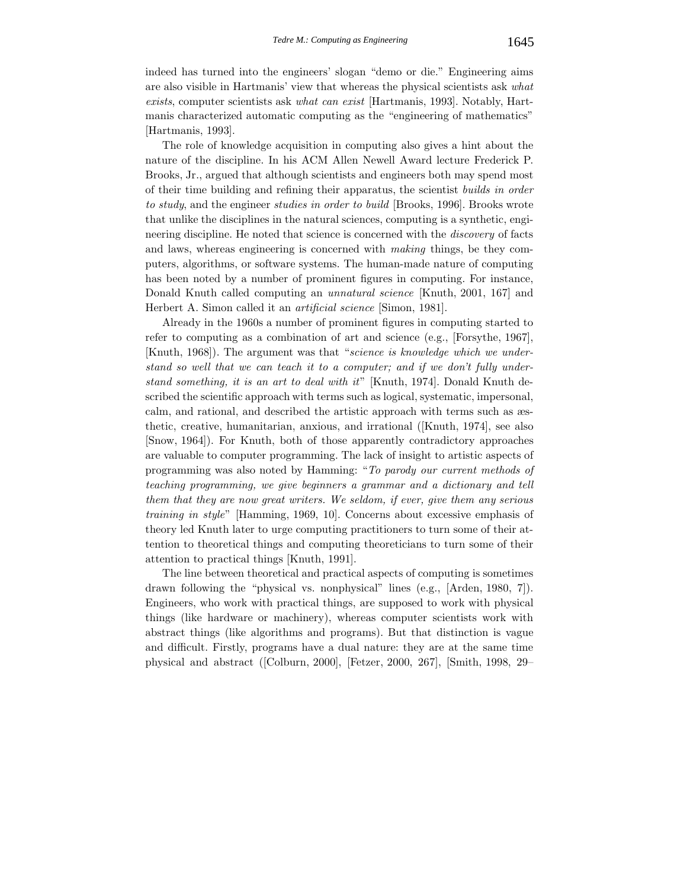indeed has turned into the engineers' slogan "demo or die." Engineering aims are also visible in Hartmanis' view that whereas the physical scientists ask *what exists*, computer scientists ask *what can exist* [Hartmanis, 1993]. Notably, Hartmanis characterized automatic computing as the "engineering of mathematics" [Hartmanis, 1993].

The role of knowledge acquisition in computing also gives a hint about the nature of the discipline. In his ACM Allen Newell Award lecture Frederick P. Brooks, Jr., argued that although scientists and engineers both may spend most of their time building and refining their apparatus, the scientist *builds in order to study*, and the engineer *studies in order to build* [Brooks, 1996]. Brooks wrote that unlike the disciplines in the natural sciences, computing is a synthetic, engineering discipline. He noted that science is concerned with the *discovery* of facts and laws, whereas engineering is concerned with *making* things, be they computers, algorithms, or software systems. The human-made nature of computing has been noted by a number of prominent figures in computing. For instance, Donald Knuth called computing an *unnatural science* [Knuth, 2001, 167] and Herbert A. Simon called it an *artificial science* [Simon, 1981].

Already in the 1960s a number of prominent figures in computing started to refer to computing as a combination of art and science (e.g., [Forsythe, 1967], [Knuth, 1968]). The argument was that "*science is knowledge which we understand so well that we can teach it to a computer; and if we don't fully understand something, it is an art to deal with it*" [Knuth, 1974]. Donald Knuth described the scientific approach with terms such as logical, systematic, impersonal, calm, and rational, and described the artistic approach with terms such as æsthetic, creative, humanitarian, anxious, and irrational ([Knuth, 1974], see also [Snow, 1964]). For Knuth, both of those apparently contradictory approaches are valuable to computer programming. The lack of insight to artistic aspects of programming was also noted by Hamming: "*To parody our current methods of teaching programming, we give beginners a grammar and a dictionary and tell them that they are now great writers. We seldom, if ever, give them any serious training in style*" [Hamming, 1969, 10]. Concerns about excessive emphasis of theory led Knuth later to urge computing practitioners to turn some of their attention to theoretical things and computing theoreticians to turn some of their attention to practical things [Knuth, 1991].

The line between theoretical and practical aspects of computing is sometimes drawn following the "physical vs. nonphysical" lines (e.g., [Arden, 1980, 7]). Engineers, who work with practical things, are supposed to work with physical things (like hardware or machinery), whereas computer scientists work with abstract things (like algorithms and programs). But that distinction is vague and difficult. Firstly, programs have a dual nature: they are at the same time physical and abstract ([Colburn, 2000], [Fetzer, 2000, 267], [Smith, 1998, 29–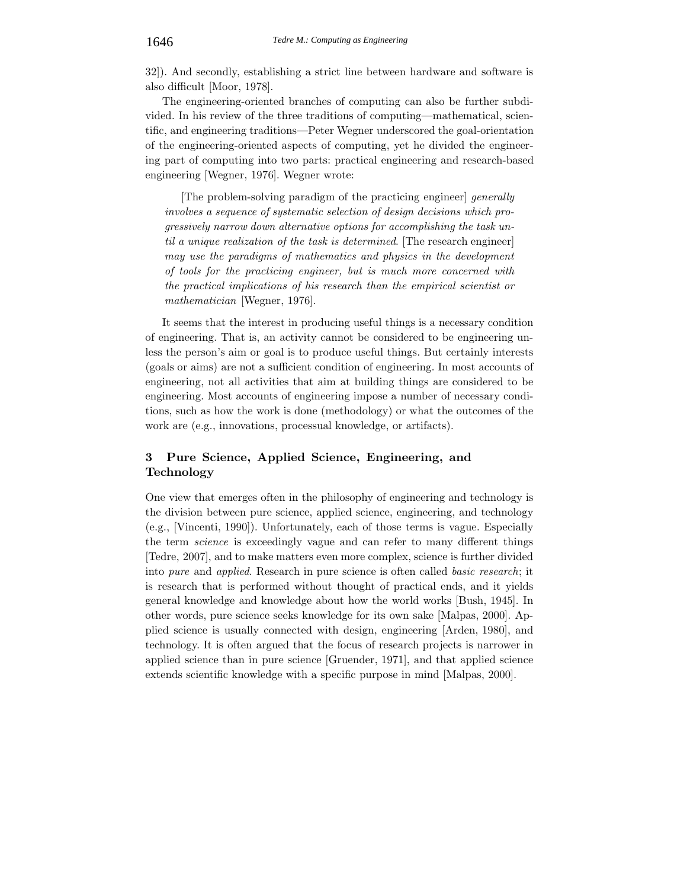32]). And secondly, establishing a strict line between hardware and software is also difficult [Moor, 1978].

The engineering-oriented branches of computing can also be further subdivided. In his review of the three traditions of computing—mathematical, scientific, and engineering traditions—Peter Wegner underscored the goal-orientation of the engineering-oriented aspects of computing, yet he divided the engineering part of computing into two parts: practical engineering and research-based engineering [Wegner, 1976]. Wegner wrote:

[The problem-solving paradigm of the practicing engineer] *generally involves a sequence of systematic selection of design decisions which progressively narrow down alternative options for accomplishing the task until a unique realization of the task is determined*. [The research engineer] *may use the paradigms of mathematics and physics in the development of tools for the practicing engineer, but is much more concerned with the practical implications of his research than the empirical scientist or mathematician* [Wegner, 1976].

It seems that the interest in producing useful things is a necessary condition of engineering. That is, an activity cannot be considered to be engineering unless the person's aim or goal is to produce useful things. But certainly interests (goals or aims) are not a sufficient condition of engineering. In most accounts of engineering, not all activities that aim at building things are considered to be engineering. Most accounts of engineering impose a number of necessary conditions, such as how the work is done (methodology) or what the outcomes of the work are (e.g., innovations, processual knowledge, or artifacts).

## **3 Pure Science, Applied Science, Engineering, and Technology**

One view that emerges often in the philosophy of engineering and technology is the division between pure science, applied science, engineering, and technology (e.g., [Vincenti, 1990]). Unfortunately, each of those terms is vague. Especially the term *science* is exceedingly vague and can refer to many different things [Tedre, 2007], and to make matters even more complex, science is further divided into *pure* and *applied*. Research in pure science is often called *basic research*; it is research that is performed without thought of practical ends, and it yields general knowledge and knowledge about how the world works [Bush, 1945]. In other words, pure science seeks knowledge for its own sake [Malpas, 2000]. Applied science is usually connected with design, engineering [Arden, 1980], and technology. It is often argued that the focus of research projects is narrower in applied science than in pure science [Gruender, 1971], and that applied science extends scientific knowledge with a specific purpose in mind [Malpas, 2000].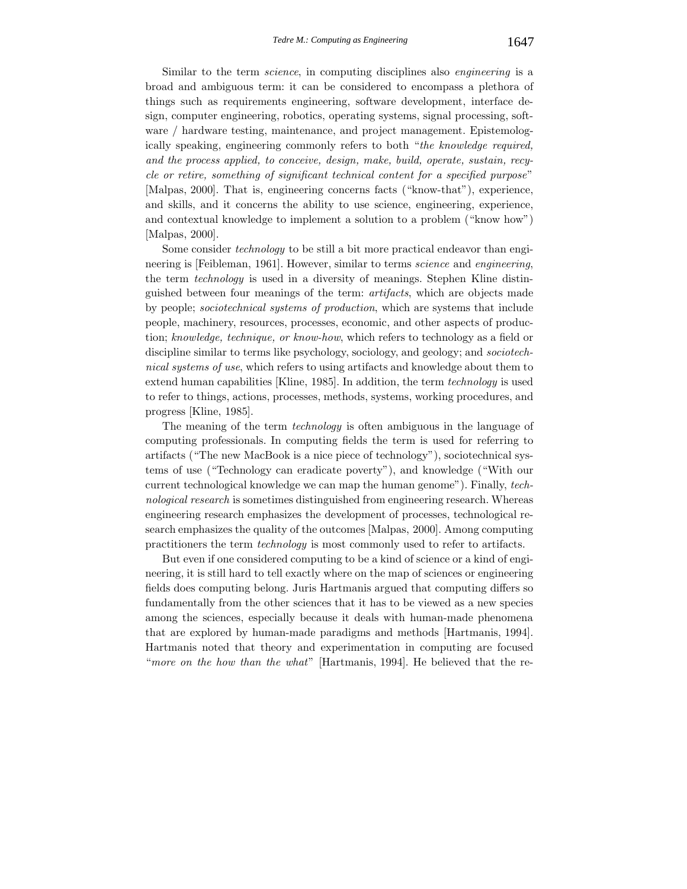Similar to the term *science*, in computing disciplines also *engineering* is a broad and ambiguous term: it can be considered to encompass a plethora of things such as requirements engineering, software development, interface design, computer engineering, robotics, operating systems, signal processing, software / hardware testing, maintenance, and project management. Epistemologically speaking, engineering commonly refers to both "*the knowledge required, and the process applied, to conceive, design, make, build, operate, sustain, recycle or retire, something of significant technical content for a specified purpose*" [Malpas, 2000]. That is, engineering concerns facts ("know-that"), experience, and skills, and it concerns the ability to use science, engineering, experience, and contextual knowledge to implement a solution to a problem ("know how") [Malpas, 2000].

Some consider *technology* to be still a bit more practical endeavor than engineering is [Feibleman, 1961]. However, similar to terms *science* and *engineering*, the term *technology* is used in a diversity of meanings. Stephen Kline distinguished between four meanings of the term: *artifacts*, which are objects made by people; *sociotechnical systems of production*, which are systems that include people, machinery, resources, processes, economic, and other aspects of production; *knowledge, technique, or know-how*, which refers to technology as a field or discipline similar to terms like psychology, sociology, and geology; and *sociotechnical systems of use*, which refers to using artifacts and knowledge about them to extend human capabilities [Kline, 1985]. In addition, the term *technology* is used to refer to things, actions, processes, methods, systems, working procedures, and progress [Kline, 1985].

The meaning of the term *technology* is often ambiguous in the language of computing professionals. In computing fields the term is used for referring to artifacts ("The new MacBook is a nice piece of technology"), sociotechnical systems of use ("Technology can eradicate poverty"), and knowledge ("With our current technological knowledge we can map the human genome"). Finally, *technological research* is sometimes distinguished from engineering research. Whereas engineering research emphasizes the development of processes, technological research emphasizes the quality of the outcomes [Malpas, 2000]. Among computing practitioners the term *technology* is most commonly used to refer to artifacts.

But even if one considered computing to be a kind of science or a kind of engineering, it is still hard to tell exactly where on the map of sciences or engineering fields does computing belong. Juris Hartmanis argued that computing differs so fundamentally from the other sciences that it has to be viewed as a new species among the sciences, especially because it deals with human-made phenomena that are explored by human-made paradigms and methods [Hartmanis, 1994]. Hartmanis noted that theory and experimentation in computing are focused "*more on the how than the what*" [Hartmanis, 1994]. He believed that the re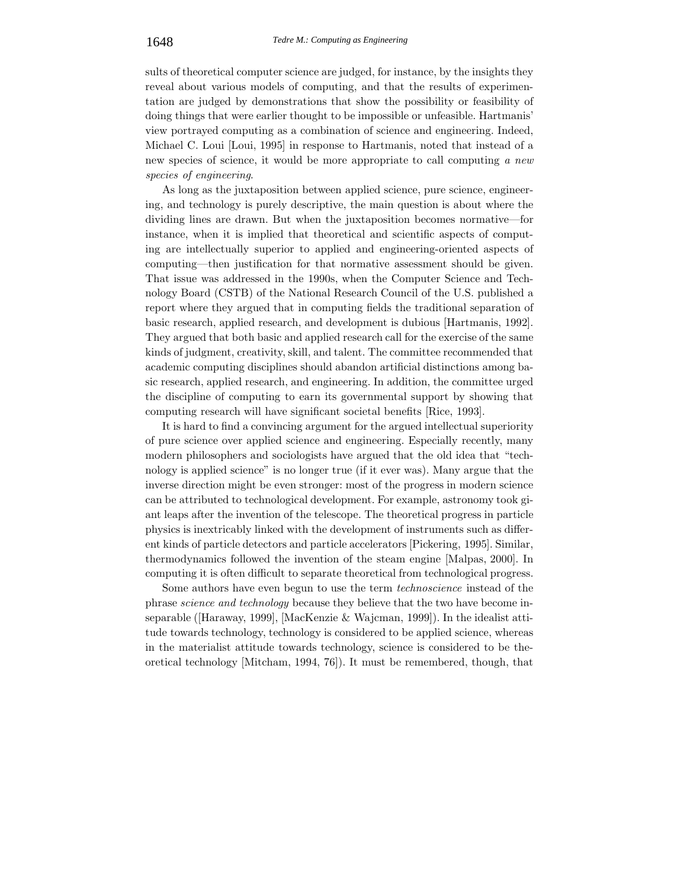sults of theoretical computer science are judged, for instance, by the insights they reveal about various models of computing, and that the results of experimentation are judged by demonstrations that show the possibility or feasibility of doing things that were earlier thought to be impossible or unfeasible. Hartmanis' view portrayed computing as a combination of science and engineering. Indeed, Michael C. Loui [Loui, 1995] in response to Hartmanis, noted that instead of a new species of science, it would be more appropriate to call computing *a new species of engineering*.

As long as the juxtaposition between applied science, pure science, engineering, and technology is purely descriptive, the main question is about where the dividing lines are drawn. But when the juxtaposition becomes normative—for instance, when it is implied that theoretical and scientific aspects of computing are intellectually superior to applied and engineering-oriented aspects of computing—then justification for that normative assessment should be given. That issue was addressed in the 1990s, when the Computer Science and Technology Board (CSTB) of the National Research Council of the U.S. published a report where they argued that in computing fields the traditional separation of basic research, applied research, and development is dubious [Hartmanis, 1992]. They argued that both basic and applied research call for the exercise of the same kinds of judgment, creativity, skill, and talent. The committee recommended that academic computing disciplines should abandon artificial distinctions among basic research, applied research, and engineering. In addition, the committee urged the discipline of computing to earn its governmental support by showing that computing research will have significant societal benefits [Rice, 1993].

It is hard to find a convincing argument for the argued intellectual superiority of pure science over applied science and engineering. Especially recently, many modern philosophers and sociologists have argued that the old idea that "technology is applied science" is no longer true (if it ever was). Many argue that the inverse direction might be even stronger: most of the progress in modern science can be attributed to technological development. For example, astronomy took giant leaps after the invention of the telescope. The theoretical progress in particle physics is inextricably linked with the development of instruments such as different kinds of particle detectors and particle accelerators [Pickering, 1995]. Similar, thermodynamics followed the invention of the steam engine [Malpas, 2000]. In computing it is often difficult to separate theoretical from technological progress.

Some authors have even begun to use the term *technoscience* instead of the phrase *science and technology* because they believe that the two have become inseparable ([Haraway, 1999], [MacKenzie & Wajcman, 1999]). In the idealist attitude towards technology, technology is considered to be applied science, whereas in the materialist attitude towards technology, science is considered to be theoretical technology [Mitcham, 1994, 76]). It must be remembered, though, that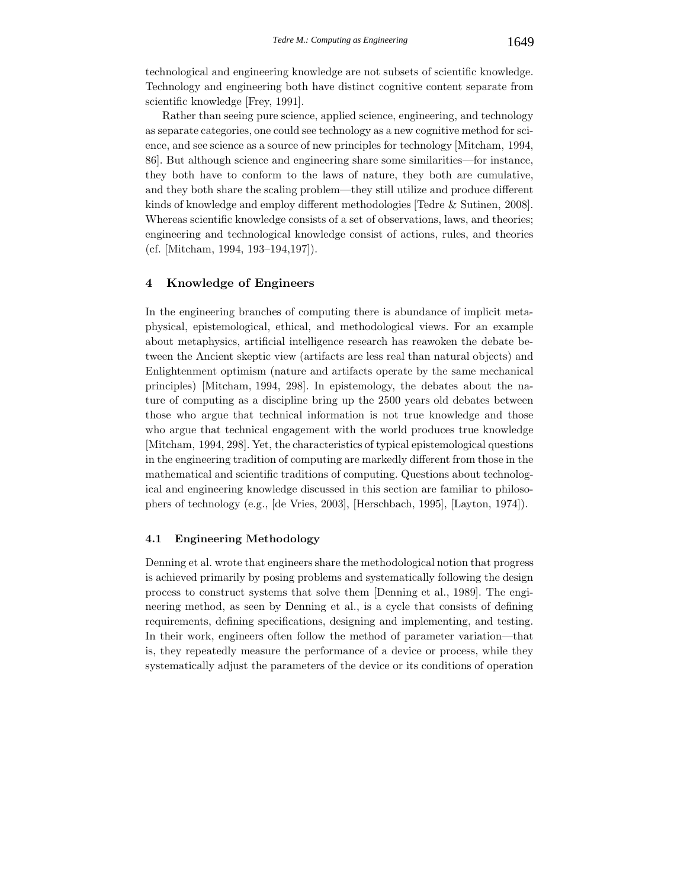technological and engineering knowledge are not subsets of scientific knowledge. Technology and engineering both have distinct cognitive content separate from scientific knowledge [Frey, 1991].

Rather than seeing pure science, applied science, engineering, and technology as separate categories, one could see technology as a new cognitive method for science, and see science as a source of new principles for technology [Mitcham, 1994, 86]. But although science and engineering share some similarities—for instance, they both have to conform to the laws of nature, they both are cumulative, and they both share the scaling problem—they still utilize and produce different kinds of knowledge and employ different methodologies [Tedre & Sutinen, 2008]. Whereas scientific knowledge consists of a set of observations, laws, and theories; engineering and technological knowledge consist of actions, rules, and theories (cf. [Mitcham, 1994, 193–194,197]).

## **4 Knowledge of Engineers**

In the engineering branches of computing there is abundance of implicit metaphysical, epistemological, ethical, and methodological views. For an example about metaphysics, artificial intelligence research has reawoken the debate between the Ancient skeptic view (artifacts are less real than natural objects) and Enlightenment optimism (nature and artifacts operate by the same mechanical principles) [Mitcham, 1994, 298]. In epistemology, the debates about the nature of computing as a discipline bring up the 2500 years old debates between those who argue that technical information is not true knowledge and those who argue that technical engagement with the world produces true knowledge [Mitcham, 1994, 298]. Yet, the characteristics of typical epistemological questions in the engineering tradition of computing are markedly different from those in the mathematical and scientific traditions of computing. Questions about technological and engineering knowledge discussed in this section are familiar to philosophers of technology (e.g., [de Vries, 2003], [Herschbach, 1995], [Layton, 1974]).

#### **4.1 Engineering Methodology**

Denning et al. wrote that engineers share the methodological notion that progress is achieved primarily by posing problems and systematically following the design process to construct systems that solve them [Denning et al., 1989]. The engineering method, as seen by Denning et al., is a cycle that consists of defining requirements, defining specifications, designing and implementing, and testing. In their work, engineers often follow the method of parameter variation—that is, they repeatedly measure the performance of a device or process, while they systematically adjust the parameters of the device or its conditions of operation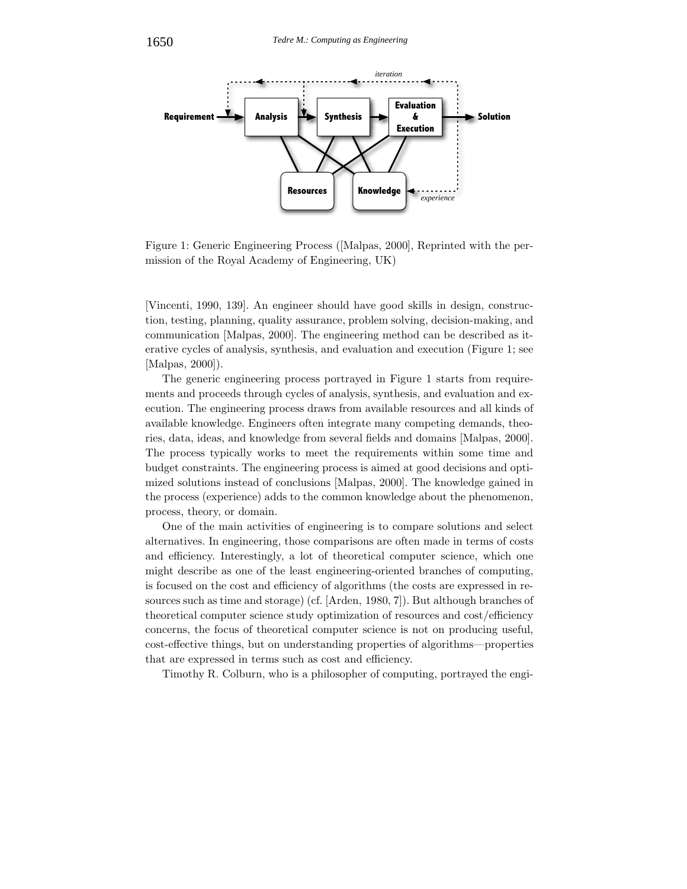

Figure 1: Generic Engineering Process ([Malpas, 2000], Reprinted with the permission of the Royal Academy of Engineering, UK)

[Vincenti, 1990, 139]. An engineer should have good skills in design, construction, testing, planning, quality assurance, problem solving, decision-making, and communication [Malpas, 2000]. The engineering method can be described as iterative cycles of analysis, synthesis, and evaluation and execution (Figure 1; see [Malpas, 2000]).

The generic engineering process portrayed in Figure 1 starts from requirements and proceeds through cycles of analysis, synthesis, and evaluation and execution. The engineering process draws from available resources and all kinds of available knowledge. Engineers often integrate many competing demands, theories, data, ideas, and knowledge from several fields and domains [Malpas, 2000]. The process typically works to meet the requirements within some time and budget constraints. The engineering process is aimed at good decisions and optimized solutions instead of conclusions [Malpas, 2000]. The knowledge gained in the process (experience) adds to the common knowledge about the phenomenon, process, theory, or domain.

One of the main activities of engineering is to compare solutions and select alternatives. In engineering, those comparisons are often made in terms of costs and efficiency. Interestingly, a lot of theoretical computer science, which one might describe as one of the least engineering-oriented branches of computing, is focused on the cost and efficiency of algorithms (the costs are expressed in resources such as time and storage) (cf. [Arden, 1980, 7]). But although branches of theoretical computer science study optimization of resources and cost/efficiency concerns, the focus of theoretical computer science is not on producing useful, cost-effective things, but on understanding properties of algorithms—properties that are expressed in terms such as cost and efficiency.

Timothy R. Colburn, who is a philosopher of computing, portrayed the engi-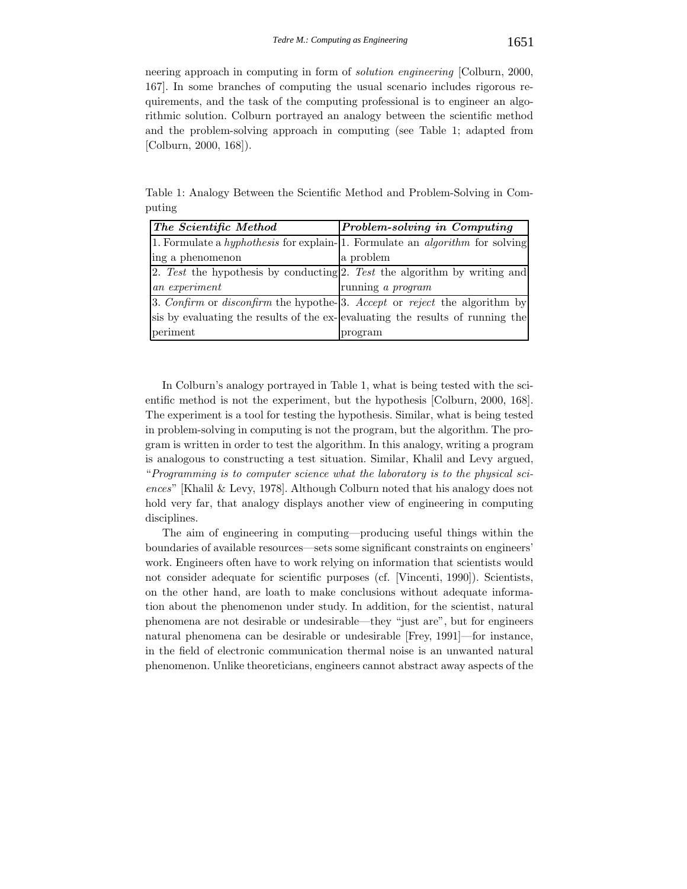neering approach in computing in form of *solution engineering* [Colburn, 2000, 167]. In some branches of computing the usual scenario includes rigorous requirements, and the task of the computing professional is to engineer an algorithmic solution. Colburn portrayed an analogy between the scientific method and the problem-solving approach in computing (see Table 1; adapted from [Colburn, 2000, 168]).

| The Scientific Method                                                                      | Problem-solving in Computing                                               |
|--------------------------------------------------------------------------------------------|----------------------------------------------------------------------------|
| 1. Formulate a <i>hyphothesis</i> for explain-1. Formulate an <i>algorithm</i> for solving |                                                                            |
| ing a phenomenon                                                                           | a problem                                                                  |
|                                                                                            | 2. Test the hypothesis by conducting 2. Test the algorithm by writing and  |
| an experiment                                                                              | running a program                                                          |
|                                                                                            | 3. Confirm or disconfirm the hypothe-13. Accept or reject the algorithm by |
| sis by evaluating the results of the ex- evaluating the results of running the             |                                                                            |
| periment                                                                                   | program                                                                    |

Table 1: Analogy Between the Scientific Method and Problem-Solving in Computing

In Colburn's analogy portrayed in Table 1, what is being tested with the scientific method is not the experiment, but the hypothesis [Colburn, 2000, 168]. The experiment is a tool for testing the hypothesis. Similar, what is being tested in problem-solving in computing is not the program, but the algorithm. The program is written in order to test the algorithm. In this analogy, writing a program is analogous to constructing a test situation. Similar, Khalil and Levy argued, "*Programming is to computer science what the laboratory is to the physical sciences*" [Khalil & Levy, 1978]. Although Colburn noted that his analogy does not hold very far, that analogy displays another view of engineering in computing disciplines.

The aim of engineering in computing—producing useful things within the boundaries of available resources—sets some significant constraints on engineers' work. Engineers often have to work relying on information that scientists would not consider adequate for scientific purposes (cf. [Vincenti, 1990]). Scientists, on the other hand, are loath to make conclusions without adequate information about the phenomenon under study. In addition, for the scientist, natural phenomena are not desirable or undesirable—they "just are", but for engineers natural phenomena can be desirable or undesirable [Frey, 1991]—for instance, in the field of electronic communication thermal noise is an unwanted natural phenomenon. Unlike theoreticians, engineers cannot abstract away aspects of the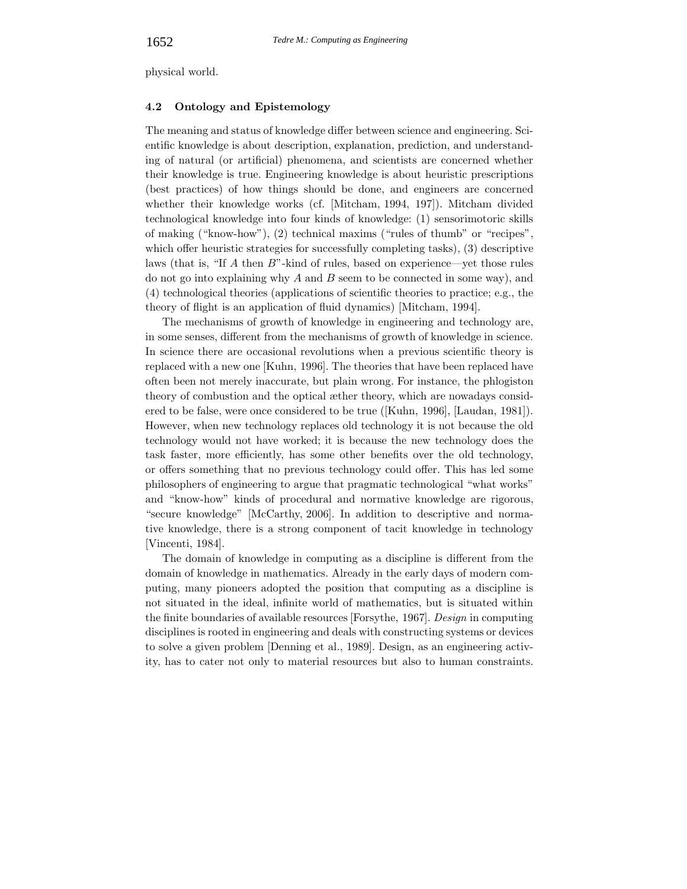physical world.

#### **4.2 Ontology and Epistemology**

The meaning and status of knowledge differ between science and engineering. Scientific knowledge is about description, explanation, prediction, and understanding of natural (or artificial) phenomena, and scientists are concerned whether their knowledge is true. Engineering knowledge is about heuristic prescriptions (best practices) of how things should be done, and engineers are concerned whether their knowledge works (cf. [Mitcham, 1994, 197]). Mitcham divided technological knowledge into four kinds of knowledge: (1) sensorimotoric skills of making ("know-how"), (2) technical maxims ("rules of thumb" or "recipes", which offer heuristic strategies for successfully completing tasks), (3) descriptive laws (that is, "If *A* then *B*"-kind of rules, based on experience—yet those rules do not go into explaining why *A* and *B* seem to be connected in some way), and (4) technological theories (applications of scientific theories to practice; e.g., the theory of flight is an application of fluid dynamics) [Mitcham, 1994].

The mechanisms of growth of knowledge in engineering and technology are, in some senses, different from the mechanisms of growth of knowledge in science. In science there are occasional revolutions when a previous scientific theory is replaced with a new one [Kuhn, 1996]. The theories that have been replaced have often been not merely inaccurate, but plain wrong. For instance, the phlogiston theory of combustion and the optical æther theory, which are nowadays considered to be false, were once considered to be true ([Kuhn, 1996], [Laudan, 1981]). However, when new technology replaces old technology it is not because the old technology would not have worked; it is because the new technology does the task faster, more efficiently, has some other benefits over the old technology, or offers something that no previous technology could offer. This has led some philosophers of engineering to argue that pragmatic technological "what works" and "know-how" kinds of procedural and normative knowledge are rigorous, "secure knowledge" [McCarthy, 2006]. In addition to descriptive and normative knowledge, there is a strong component of tacit knowledge in technology [Vincenti, 1984].

The domain of knowledge in computing as a discipline is different from the domain of knowledge in mathematics. Already in the early days of modern computing, many pioneers adopted the position that computing as a discipline is not situated in the ideal, infinite world of mathematics, but is situated within the finite boundaries of available resources [Forsythe, 1967]. *Design* in computing disciplines is rooted in engineering and deals with constructing systems or devices to solve a given problem [Denning et al., 1989]. Design, as an engineering activity, has to cater not only to material resources but also to human constraints.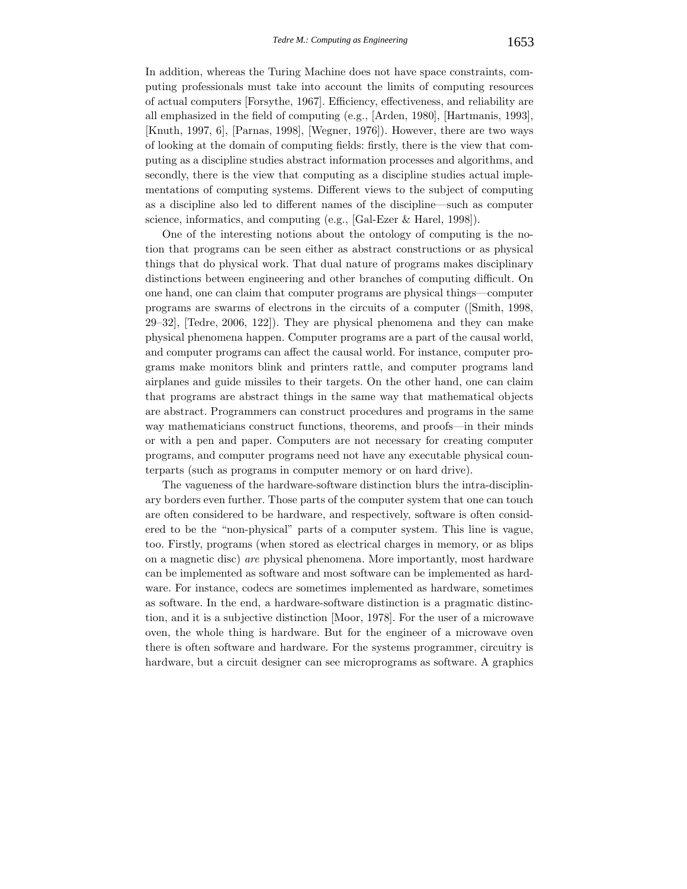In addition, whereas the Turing Machine does not have space constraints, computing professionals must take into account the limits of computing resources of actual computers [Forsythe, 1967]. Efficiency, effectiveness, and reliability are all emphasized in the field of computing (e.g., [Arden, 1980], [Hartmanis, 1993], [Knuth, 1997, 6], [Parnas, 1998], [Wegner, 1976]). However, there are two ways of looking at the domain of computing fields: firstly, there is the view that computing as a discipline studies abstract information processes and algorithms, and secondly, there is the view that computing as a discipline studies actual implementations of computing systems. Different views to the subject of computing as a discipline also led to different names of the discipline—such as computer science, informatics, and computing (e.g., [Gal-Ezer & Harel, 1998]).

One of the interesting notions about the ontology of computing is the notion that programs can be seen either as abstract constructions or as physical things that do physical work. That dual nature of programs makes disciplinary distinctions between engineering and other branches of computing difficult. On one hand, one can claim that computer programs are physical things—computer programs are swarms of electrons in the circuits of a computer ([Smith, 1998, 29–32], [Tedre, 2006, 122]). They are physical phenomena and they can make physical phenomena happen. Computer programs are a part of the causal world, and computer programs can affect the causal world. For instance, computer programs make monitors blink and printers rattle, and computer programs land airplanes and guide missiles to their targets. On the other hand, one can claim that programs are abstract things in the same way that mathematical objects are abstract. Programmers can construct procedures and programs in the same way mathematicians construct functions, theorems, and proofs—in their minds or with a pen and paper. Computers are not necessary for creating computer programs, and computer programs need not have any executable physical counterparts (such as programs in computer memory or on hard drive).

The vagueness of the hardware-software distinction blurs the intra-disciplinary borders even further. Those parts of the computer system that one can touch are often considered to be hardware, and respectively, software is often considered to be the "non-physical" parts of a computer system. This line is vague, too. Firstly, programs (when stored as electrical charges in memory, or as blips on a magnetic disc) *are* physical phenomena. More importantly, most hardware can be implemented as software and most software can be implemented as hardware. For instance, codecs are sometimes implemented as hardware, sometimes as software. In the end, a hardware-software distinction is a pragmatic distinction, and it is a subjective distinction [Moor, 1978]. For the user of a microwave oven, the whole thing is hardware. But for the engineer of a microwave oven there is often software and hardware. For the systems programmer, circuitry is hardware, but a circuit designer can see microprograms as software. A graphics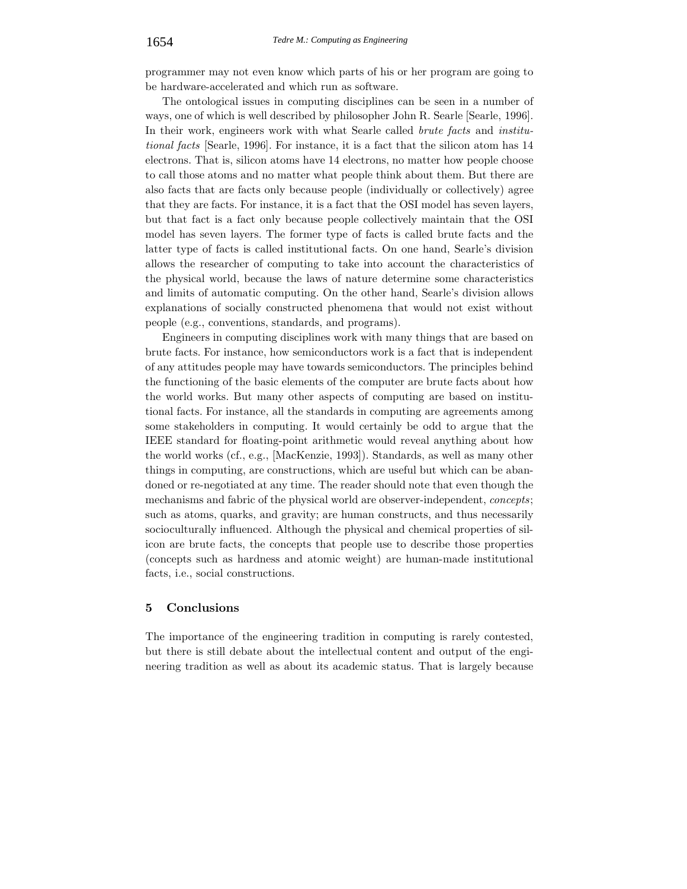programmer may not even know which parts of his or her program are going to be hardware-accelerated and which run as software.

The ontological issues in computing disciplines can be seen in a number of ways, one of which is well described by philosopher John R. Searle [Searle, 1996]. In their work, engineers work with what Searle called *brute facts* and *institutional facts* [Searle, 1996]. For instance, it is a fact that the silicon atom has 14 electrons. That is, silicon atoms have 14 electrons, no matter how people choose to call those atoms and no matter what people think about them. But there are also facts that are facts only because people (individually or collectively) agree that they are facts. For instance, it is a fact that the OSI model has seven layers, but that fact is a fact only because people collectively maintain that the OSI model has seven layers. The former type of facts is called brute facts and the latter type of facts is called institutional facts. On one hand, Searle's division allows the researcher of computing to take into account the characteristics of the physical world, because the laws of nature determine some characteristics and limits of automatic computing. On the other hand, Searle's division allows explanations of socially constructed phenomena that would not exist without people (e.g., conventions, standards, and programs).

Engineers in computing disciplines work with many things that are based on brute facts. For instance, how semiconductors work is a fact that is independent of any attitudes people may have towards semiconductors. The principles behind the functioning of the basic elements of the computer are brute facts about how the world works. But many other aspects of computing are based on institutional facts. For instance, all the standards in computing are agreements among some stakeholders in computing. It would certainly be odd to argue that the IEEE standard for floating-point arithmetic would reveal anything about how the world works (cf., e.g., [MacKenzie, 1993]). Standards, as well as many other things in computing, are constructions, which are useful but which can be abandoned or re-negotiated at any time. The reader should note that even though the mechanisms and fabric of the physical world are observer-independent, *concepts*; such as atoms, quarks, and gravity; are human constructs, and thus necessarily socioculturally influenced. Although the physical and chemical properties of silicon are brute facts, the concepts that people use to describe those properties (concepts such as hardness and atomic weight) are human-made institutional facts, i.e., social constructions.

#### **5 Conclusions**

The importance of the engineering tradition in computing is rarely contested, but there is still debate about the intellectual content and output of the engineering tradition as well as about its academic status. That is largely because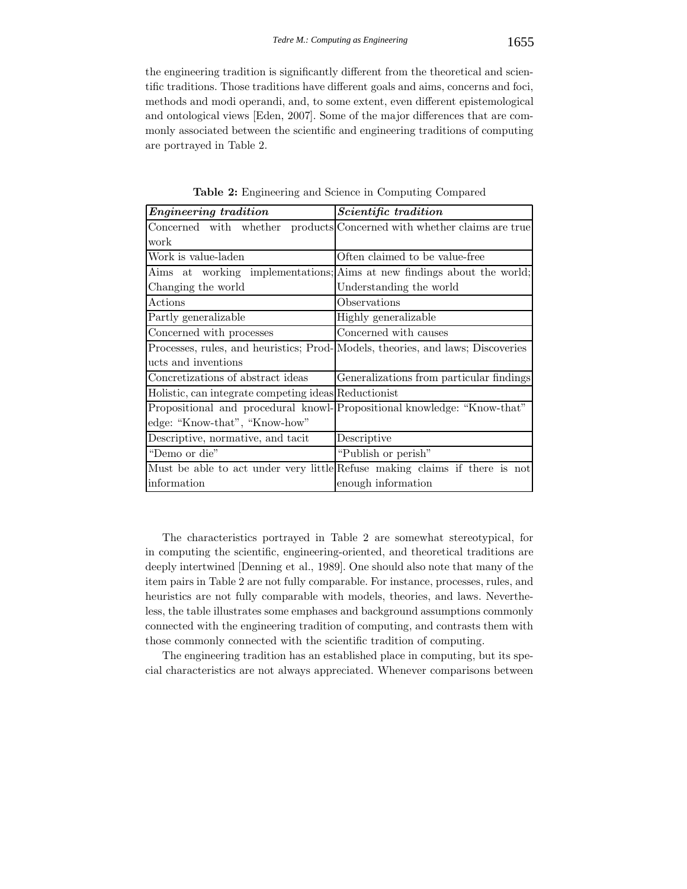the engineering tradition is significantly different from the theoretical and scientific traditions. Those traditions have different goals and aims, concerns and foci, methods and modi operandi, and, to some extent, even different epistemological and ontological views [Eden, 2007]. Some of the major differences that are commonly associated between the scientific and engineering traditions of computing are portrayed in Table 2.

| <b>Engineering tradition</b>                         | <i>Scientific tradition</i>                                                    |
|------------------------------------------------------|--------------------------------------------------------------------------------|
|                                                      | Concerned with whether products Concerned with whether claims are true         |
| work                                                 |                                                                                |
| Work is value-laden                                  | Often claimed to be value-free                                                 |
|                                                      | Aims at working implementations; Aims at new findings about the world;         |
| Changing the world                                   | Understanding the world                                                        |
| Actions                                              | Observations                                                                   |
| Partly generalizable                                 | Highly generalizable                                                           |
| Concerned with processes                             | Concerned with causes                                                          |
|                                                      | Processes, rules, and heuristics; Prod-Models, theories, and laws; Discoveries |
| ucts and inventions                                  |                                                                                |
| Concretizations of abstract ideas                    | Generalizations from particular findings                                       |
| Holistic, can integrate competing ideas Reductionist |                                                                                |
|                                                      | Propositional and procedural knowl-<br> Propositional knowledge: "Know-that"   |
| edge: "Know-that", "Know-how"                        |                                                                                |
| Descriptive, normative, and tacit                    | Descriptive                                                                    |
| "Demo or die"                                        | "Publish or perish"                                                            |
|                                                      | Must be able to act under very little Refuse making claims if there is not     |
| information                                          | enough information                                                             |

**Table 2:** Engineering and Science in Computing Compared

The characteristics portrayed in Table 2 are somewhat stereotypical, for in computing the scientific, engineering-oriented, and theoretical traditions are deeply intertwined [Denning et al., 1989]. One should also note that many of the item pairs in Table 2 are not fully comparable. For instance, processes, rules, and heuristics are not fully comparable with models, theories, and laws. Nevertheless, the table illustrates some emphases and background assumptions commonly connected with the engineering tradition of computing, and contrasts them with those commonly connected with the scientific tradition of computing.

The engineering tradition has an established place in computing, but its special characteristics are not always appreciated. Whenever comparisons between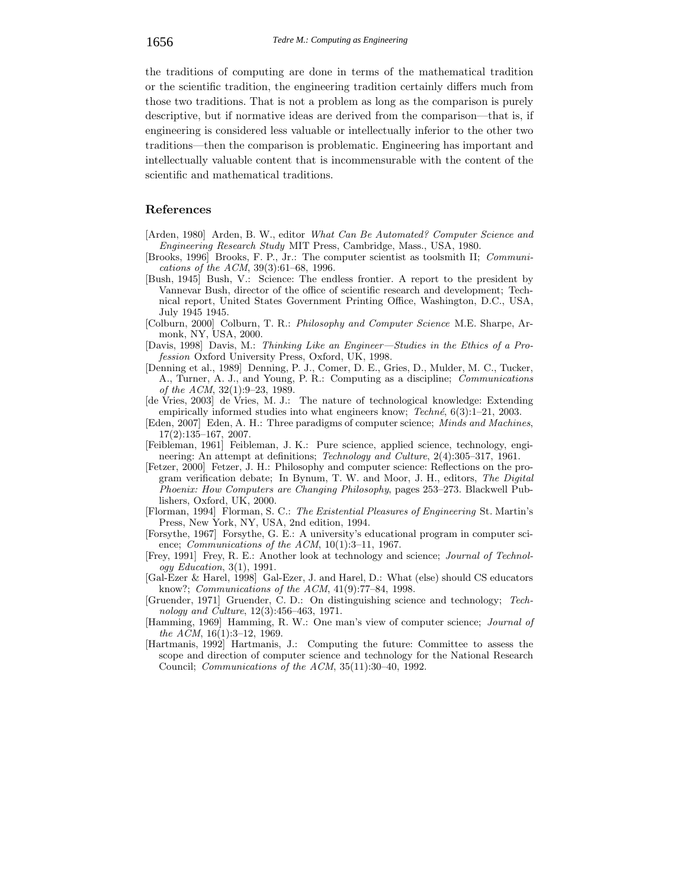the traditions of computing are done in terms of the mathematical tradition or the scientific tradition, the engineering tradition certainly differs much from those two traditions. That is not a problem as long as the comparison is purely descriptive, but if normative ideas are derived from the comparison—that is, if engineering is considered less valuable or intellectually inferior to the other two traditions—then the comparison is problematic. Engineering has important and intellectually valuable content that is incommensurable with the content of the scientific and mathematical traditions.

#### **References**

- [Arden, 1980] Arden, B. W., editor *What Can Be Automated? Computer Science and Engineering Research Study* MIT Press, Cambridge, Mass., USA, 1980.
- [Brooks, 1996] Brooks, F. P., Jr.: The computer scientist as toolsmith II; *Communications of the ACM*, 39(3):61–68, 1996.
- [Bush, 1945] Bush, V.: Science: The endless frontier. A report to the president by Vannevar Bush, director of the office of scientific research and development; Technical report, United States Government Printing Office, Washington, D.C., USA, July 1945 1945.
- [Colburn, 2000] Colburn, T. R.: *Philosophy and Computer Science* M.E. Sharpe, Armonk, NY, USA, 2000.
- [Davis, 1998] Davis, M.: *Thinking Like an Engineer—Studies in the Ethics of a Profession* Oxford University Press, Oxford, UK, 1998.
- [Denning et al., 1989] Denning, P. J., Comer, D. E., Gries, D., Mulder, M. C., Tucker, A., Turner, A. J., and Young, P. R.: Computing as a discipline; *Communications of the ACM*, 32(1):9–23, 1989.
- [de Vries, 2003] de Vries, M. J.: The nature of technological knowledge: Extending empirically informed studies into what engineers know; *Techné*, 6(3):1–21, 2003.
- [Eden, 2007] Eden, A. H.: Three paradigms of computer science; *Minds and Machines*, 17(2):135–167, 2007.
- [Feibleman, 1961] Feibleman, J. K.: Pure science, applied science, technology, engineering: An attempt at definitions; *Technology and Culture*, 2(4):305–317, 1961.
- [Fetzer, 2000] Fetzer, J. H.: Philosophy and computer science: Reflections on the program verification debate; In Bynum, T. W. and Moor, J. H., editors, *The Digital Phoenix: How Computers are Changing Philosophy*, pages 253–273. Blackwell Publishers, Oxford, UK, 2000.
- [Florman, 1994] Florman, S. C.: *The Existential Pleasures of Engineering* St. Martin's Press, New York, NY, USA, 2nd edition, 1994.
- [Forsythe, 1967] Forsythe, G. E.: A university's educational program in computer science; *Communications of the ACM*, 10(1):3–11, 1967.
- [Frey, 1991] Frey, R. E.: Another look at technology and science; *Journal of Technology Education*, 3(1), 1991.
- [Gal-Ezer & Harel, 1998] Gal-Ezer, J. and Harel, D.: What (else) should CS educators know?; *Communications of the ACM*, 41(9):77–84, 1998.
- [Gruender, 1971] Gruender, C. D.: On distinguishing science and technology; *Technology and Culture*, 12(3):456–463, 1971.
- [Hamming, 1969] Hamming, R. W.: One man's view of computer science; *Journal of the ACM*, 16(1):3–12, 1969.
- [Hartmanis, 1992] Hartmanis, J.: Computing the future: Committee to assess the scope and direction of computer science and technology for the National Research Council; *Communications of the ACM*, 35(11):30–40, 1992.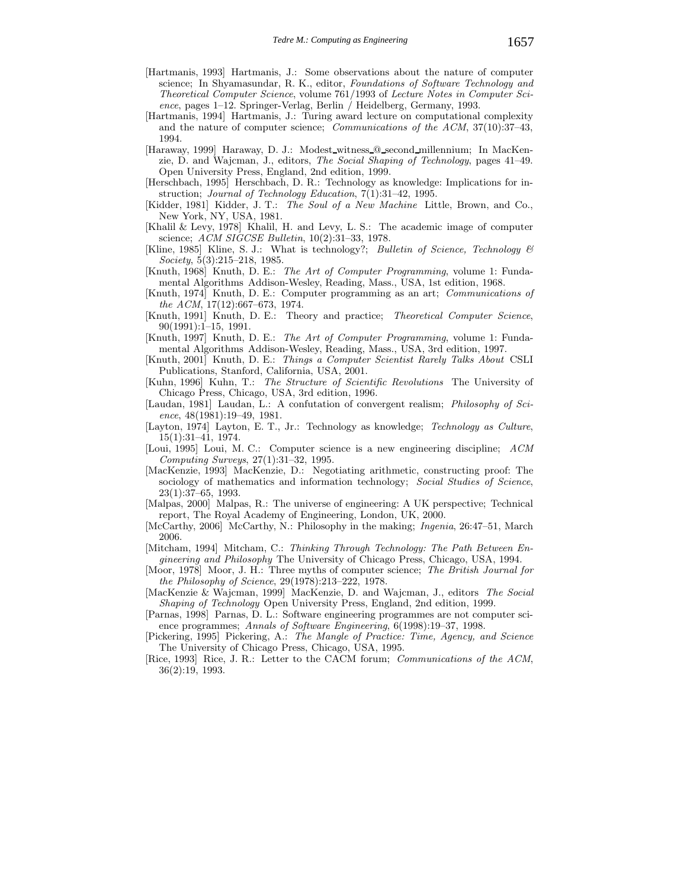- [Hartmanis, 1993] Hartmanis, J.: Some observations about the nature of computer science; In Shyamasundar, R. K., editor, *Foundations of Software Technology and Theoretical Computer Science*, volume 761/1993 of *Lecture Notes in Computer Science*, pages 1–12. Springer-Verlag, Berlin / Heidelberg, Germany, 1993.
- [Hartmanis, 1994] Hartmanis, J.: Turing award lecture on computational complexity and the nature of computer science; *Communications of the ACM*, 37(10):37–43, 1994.
- [Haraway, 1999] Haraway, D. J.: Modest witness @ second millennium; In MacKenzie, D. and Wajcman, J., editors, *The Social Shaping of Technology*, pages 41–49. Open University Press, England, 2nd edition, 1999.
- [Herschbach, 1995] Herschbach, D. R.: Technology as knowledge: Implications for instruction; *Journal of Technology Education*, 7(1):31–42, 1995.
- [Kidder, 1981] Kidder, J. T.: *The Soul of a New Machine* Little, Brown, and Co., New York, NY, USA, 1981.
- [Khalil & Levy, 1978] Khalil, H. and Levy, L. S.: The academic image of computer science; *ACM SIGCSE Bulletin*, 10(2):31–33, 1978.
- [Kline, 1985] Kline, S. J.: What is technology?; *Bulletin of Science, Technology & Society*, 5(3):215–218, 1985.
- [Knuth, 1968] Knuth, D. E.: *The Art of Computer Programming*, volume 1: Fundamental Algorithms Addison-Wesley, Reading, Mass., USA, 1st edition, 1968.
- [Knuth, 1974] Knuth, D. E.: Computer programming as an art; *Communications of the ACM*, 17(12):667–673, 1974.
- [Knuth, 1991] Knuth, D. E.: Theory and practice; *Theoretical Computer Science*, 90(1991):1–15, 1991.
- [Knuth, 1997] Knuth, D. E.: *The Art of Computer Programming*, volume 1: Fundamental Algorithms Addison-Wesley, Reading, Mass., USA, 3rd edition, 1997.
- [Knuth, 2001] Knuth, D. E.: *Things a Computer Scientist Rarely Talks About* CSLI Publications, Stanford, California, USA, 2001.
- [Kuhn, 1996] Kuhn, T.: *The Structure of Scientific Revolutions* The University of Chicago Press, Chicago, USA, 3rd edition, 1996.
- [Laudan, 1981] Laudan, L.: A confutation of convergent realism; *Philosophy of Science*, 48(1981):19–49, 1981.
- [Layton, 1974] Layton, E. T., Jr.: Technology as knowledge; *Technology as Culture*, 15(1):31–41, 1974.
- [Loui, 1995] Loui, M. C.: Computer science is a new engineering discipline; *ACM Computing Surveys*, 27(1):31–32, 1995.
- [MacKenzie, 1993] MacKenzie, D.: Negotiating arithmetic, constructing proof: The sociology of mathematics and information technology; *Social Studies of Science*, 23(1):37–65, 1993.
- [Malpas, 2000] Malpas, R.: The universe of engineering: A UK perspective; Technical report, The Royal Academy of Engineering, London, UK, 2000.
- [McCarthy, 2006] McCarthy, N.: Philosophy in the making; *Ingenia*, 26:47–51, March 2006.
- [Mitcham, 1994] Mitcham, C.: *Thinking Through Technology: The Path Between Engineering and Philosophy* The University of Chicago Press, Chicago, USA, 1994.
- [Moor, 1978] Moor, J. H.: Three myths of computer science; *The British Journal for the Philosophy of Science*, 29(1978):213–222, 1978.
- [MacKenzie & Wajcman, 1999] MacKenzie, D. and Wajcman, J., editors *The Social Shaping of Technology* Open University Press, England, 2nd edition, 1999.
- [Parnas, 1998] Parnas, D. L.: Software engineering programmes are not computer science programmes; *Annals of Software Engineering*, 6(1998):19–37, 1998.
- [Pickering, 1995] Pickering, A.: *The Mangle of Practice: Time, Agency, and Science* The University of Chicago Press, Chicago, USA, 1995.
- [Rice, 1993] Rice, J. R.: Letter to the CACM forum; *Communications of the ACM*, 36(2):19, 1993.